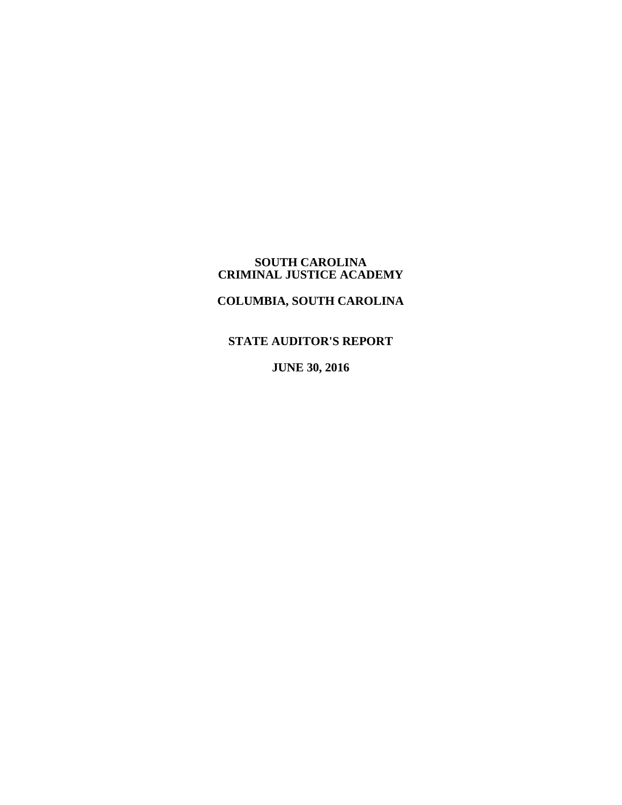#### **SOUTH CAROLINA CRIMINAL JUSTICE ACADEMY**

# **COLUMBIA, SOUTH CAROLINA**

**STATE AUDITOR'S REPORT**

**JUNE 30, 2016**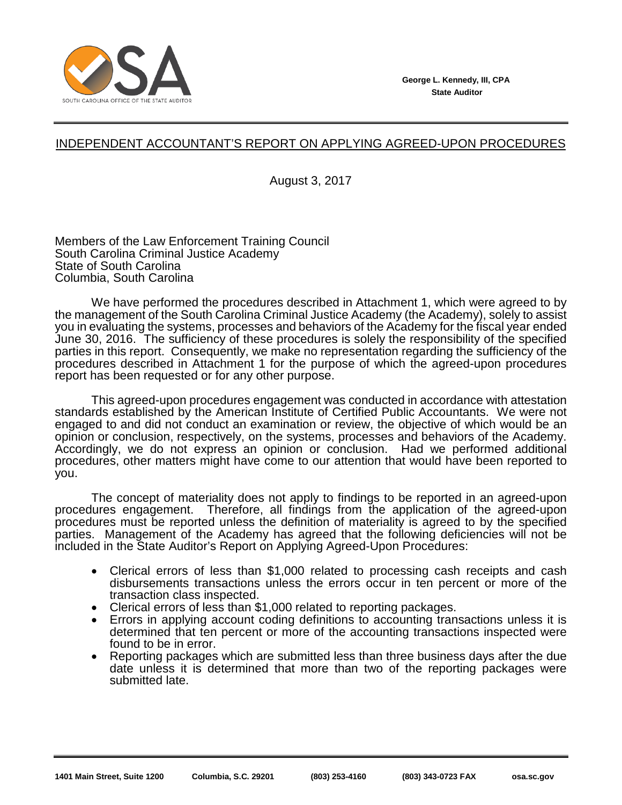

# INDEPENDENT ACCOUNTANT'S REPORT ON APPLYING AGREED-UPON PROCEDURES

August 3, 2017

Members of the Law Enforcement Training Council South Carolina Criminal Justice Academy State of South Carolina Columbia, South Carolina

We have performed the procedures described in Attachment 1, which were agreed to by the management of the South Carolina Criminal Justice Academy (the Academy), solely to assist you in evaluating the systems, processes and behaviors of the Academy for the fiscal year ended June 30, 2016. The sufficiency of these procedures is solely the responsibility of the specified parties in this report. Consequently, we make no representation regarding the sufficiency of the procedures described in Attachment 1 for the purpose of which the agreed-upon procedures report has been requested or for any other purpose.

This agreed-upon procedures engagement was conducted in accordance with attestation standards established by the American Institute of Certified Public Accountants. We were not engaged to and did not conduct an examination or review, the objective of which would be an opinion or conclusion, respectively, on the systems, processes and behaviors of the Academy. Accordingly, we do not express an opinion or conclusion. Had we performed additional procedures, other matters might have come to our attention that would have been reported to you.

The concept of materiality does not apply to findings to be reported in an agreed-upon procedures engagement. Therefore, all findings from the application of the agreed-upon procedures must be reported unless the definition of materiality is agreed to by the specified parties. Management of the Academy has agreed that the following deficiencies will not be included in the State Auditor's Report on Applying Agreed-Upon Procedures:

- Clerical errors of less than \$1,000 related to processing cash receipts and cash disbursements transactions unless the errors occur in ten percent or more of the transaction class inspected.
- Clerical errors of less than \$1,000 related to reporting packages.
- Errors in applying account coding definitions to accounting transactions unless it is determined that ten percent or more of the accounting transactions inspected were found to be in error.
- Reporting packages which are submitted less than three business days after the due date unless it is determined that more than two of the reporting packages were submitted late.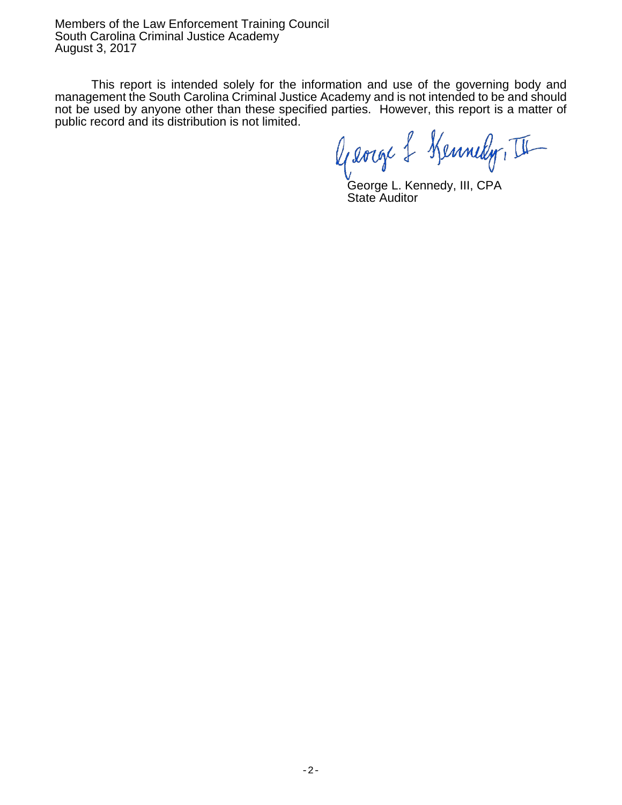Members of the Law Enforcement Training Council South Carolina Criminal Justice Academy August 3, 2017

This report is intended solely for the information and use of the governing body and management the South Carolina Criminal Justice Academy and is not intended to be and should not be used by anyone other than these specified parties. However, this report is a matter of public record and its distribution is not limited.

George & Kennedy, II

George L. Kennedy, III, CPA State Auditor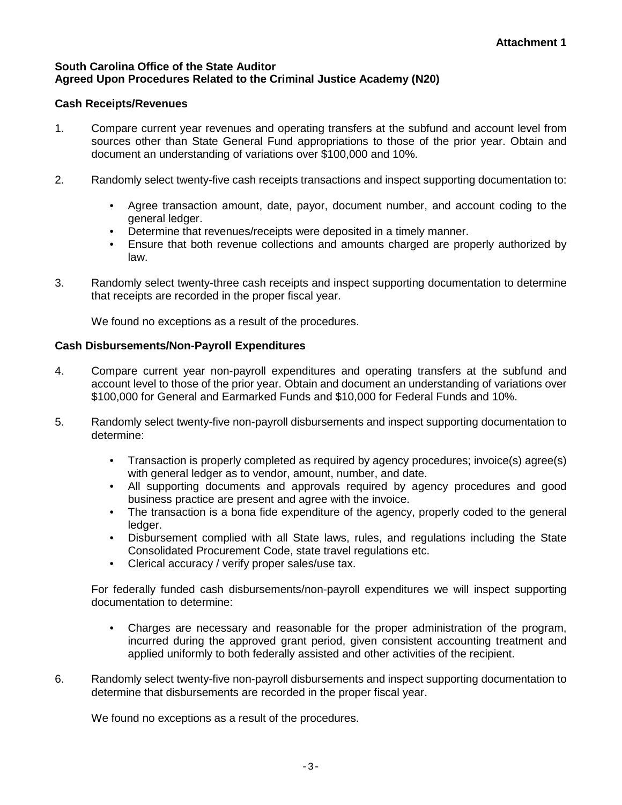#### **South Carolina Office of the State Auditor Agreed Upon Procedures Related to the Criminal Justice Academy (N20)**

# **Cash Receipts/Revenues**

- 1. Compare current year revenues and operating transfers at the subfund and account level from sources other than State General Fund appropriations to those of the prior year. Obtain and document an understanding of variations over \$100,000 and 10%.
- 2. Randomly select twenty-five cash receipts transactions and inspect supporting documentation to:
	- Agree transaction amount, date, payor, document number, and account coding to the general ledger.
	- Determine that revenues/receipts were deposited in a timely manner.
	- Ensure that both revenue collections and amounts charged are properly authorized by law.
- 3. Randomly select twenty-three cash receipts and inspect supporting documentation to determine that receipts are recorded in the proper fiscal year.

We found no exceptions as a result of the procedures.

### **Cash Disbursements/Non-Payroll Expenditures**

- 4. Compare current year non-payroll expenditures and operating transfers at the subfund and account level to those of the prior year. Obtain and document an understanding of variations over \$100,000 for General and Earmarked Funds and \$10,000 for Federal Funds and 10%.
- 5. Randomly select twenty-five non-payroll disbursements and inspect supporting documentation to determine:
	- Transaction is properly completed as required by agency procedures; invoice(s) agree(s) with general ledger as to vendor, amount, number, and date.
	- All supporting documents and approvals required by agency procedures and good business practice are present and agree with the invoice.
	- The transaction is a bona fide expenditure of the agency, properly coded to the general ledger.
	- Disbursement complied with all State laws, rules, and regulations including the State Consolidated Procurement Code, state travel regulations etc.
	- Clerical accuracy / verify proper sales/use tax.

For federally funded cash disbursements/non-payroll expenditures we will inspect supporting documentation to determine:

- Charges are necessary and reasonable for the proper administration of the program, incurred during the approved grant period, given consistent accounting treatment and applied uniformly to both federally assisted and other activities of the recipient.
- 6. Randomly select twenty-five non-payroll disbursements and inspect supporting documentation to determine that disbursements are recorded in the proper fiscal year.

We found no exceptions as a result of the procedures.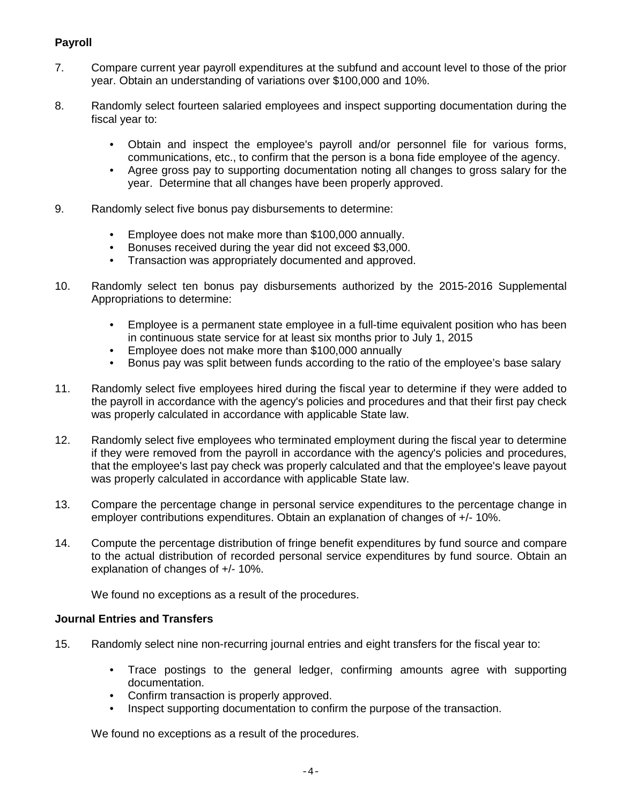# **Payroll**

- 7. Compare current year payroll expenditures at the subfund and account level to those of the prior year. Obtain an understanding of variations over \$100,000 and 10%.
- 8. Randomly select fourteen salaried employees and inspect supporting documentation during the fiscal year to:
	- Obtain and inspect the employee's payroll and/or personnel file for various forms, communications, etc., to confirm that the person is a bona fide employee of the agency.
	- Agree gross pay to supporting documentation noting all changes to gross salary for the year. Determine that all changes have been properly approved.
- 9. Randomly select five bonus pay disbursements to determine:
	- Employee does not make more than \$100,000 annually.
	- Bonuses received during the year did not exceed \$3,000.
	- Transaction was appropriately documented and approved.
- 10. Randomly select ten bonus pay disbursements authorized by the 2015-2016 Supplemental Appropriations to determine:
	- Employee is a permanent state employee in a full-time equivalent position who has been in continuous state service for at least six months prior to July 1, 2015
	- Employee does not make more than \$100,000 annually
	- Bonus pay was split between funds according to the ratio of the employee's base salary
- 11. Randomly select five employees hired during the fiscal year to determine if they were added to the payroll in accordance with the agency's policies and procedures and that their first pay check was properly calculated in accordance with applicable State law.
- 12. Randomly select five employees who terminated employment during the fiscal year to determine if they were removed from the payroll in accordance with the agency's policies and procedures, that the employee's last pay check was properly calculated and that the employee's leave payout was properly calculated in accordance with applicable State law.
- 13. Compare the percentage change in personal service expenditures to the percentage change in employer contributions expenditures. Obtain an explanation of changes of +/- 10%.
- 14. Compute the percentage distribution of fringe benefit expenditures by fund source and compare to the actual distribution of recorded personal service expenditures by fund source. Obtain an explanation of changes of +/- 10%.

We found no exceptions as a result of the procedures.

#### **Journal Entries and Transfers**

- 15. Randomly select nine non-recurring journal entries and eight transfers for the fiscal year to:
	- Trace postings to the general ledger, confirming amounts agree with supporting documentation.
	- Confirm transaction is properly approved.
	- Inspect supporting documentation to confirm the purpose of the transaction.

We found no exceptions as a result of the procedures.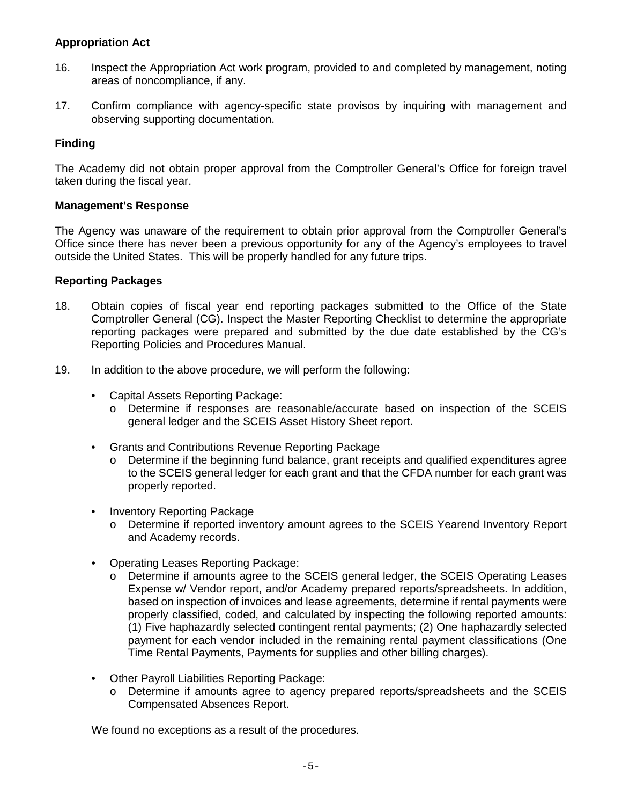#### **Appropriation Act**

- 16. Inspect the Appropriation Act work program, provided to and completed by management, noting areas of noncompliance, if any.
- 17. Confirm compliance with agency-specific state provisos by inquiring with management and observing supporting documentation.

### **Finding**

The Academy did not obtain proper approval from the Comptroller General's Office for foreign travel taken during the fiscal year.

#### **Management's Response**

The Agency was unaware of the requirement to obtain prior approval from the Comptroller General's Office since there has never been a previous opportunity for any of the Agency's employees to travel outside the United States. This will be properly handled for any future trips.

#### **Reporting Packages**

- 18. Obtain copies of fiscal year end reporting packages submitted to the Office of the State Comptroller General (CG). Inspect the Master Reporting Checklist to determine the appropriate reporting packages were prepared and submitted by the due date established by the CG's Reporting Policies and Procedures Manual.
- 19. In addition to the above procedure, we will perform the following:
	- Capital Assets Reporting Package:
		- o Determine if responses are reasonable/accurate based on inspection of the SCEIS general ledger and the SCEIS Asset History Sheet report.
	- Grants and Contributions Revenue Reporting Package
		- o Determine if the beginning fund balance, grant receipts and qualified expenditures agree to the SCEIS general ledger for each grant and that the CFDA number for each grant was properly reported.
	- Inventory Reporting Package
		- o Determine if reported inventory amount agrees to the SCEIS Yearend Inventory Report and Academy records.
	- Operating Leases Reporting Package:
		- o Determine if amounts agree to the SCEIS general ledger, the SCEIS Operating Leases Expense w/ Vendor report, and/or Academy prepared reports/spreadsheets. In addition, based on inspection of invoices and lease agreements, determine if rental payments were properly classified, coded, and calculated by inspecting the following reported amounts: (1) Five haphazardly selected contingent rental payments; (2) One haphazardly selected payment for each vendor included in the remaining rental payment classifications (One Time Rental Payments, Payments for supplies and other billing charges).
	- Other Payroll Liabilities Reporting Package:
		- o Determine if amounts agree to agency prepared reports/spreadsheets and the SCEIS Compensated Absences Report.

We found no exceptions as a result of the procedures.